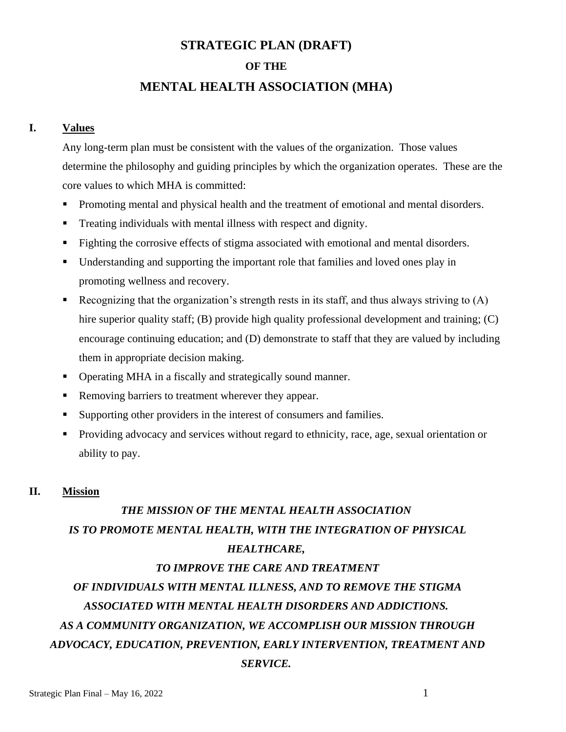## **STRATEGIC PLAN (DRAFT)**

#### **OF THE**

## **MENTAL HEALTH ASSOCIATION (MHA)**

#### **I. Values**

Any long-term plan must be consistent with the values of the organization. Those values determine the philosophy and guiding principles by which the organization operates. These are the core values to which MHA is committed:

- Promoting mental and physical health and the treatment of emotional and mental disorders.
- **•** Treating individuals with mental illness with respect and dignity.
- **•** Fighting the corrosive effects of stigma associated with emotional and mental disorders.
- Understanding and supporting the important role that families and loved ones play in promoting wellness and recovery.
- Example 1 Recognizing that the organization's strength rests in its staff, and thus always striving to  $(A)$ hire superior quality staff; (B) provide high quality professional development and training; (C) encourage continuing education; and (D) demonstrate to staff that they are valued by including them in appropriate decision making.
- Operating MHA in a fiscally and strategically sound manner.
- Removing barriers to treatment wherever they appear.
- Supporting other providers in the interest of consumers and families.
- Providing advocacy and services without regard to ethnicity, race, age, sexual orientation or ability to pay.

#### **II. Mission**

# *THE MISSION OF THE MENTAL HEALTH ASSOCIATION IS TO PROMOTE MENTAL HEALTH, WITH THE INTEGRATION OF PHYSICAL HEALTHCARE,*

#### *TO IMPROVE THE CARE AND TREATMENT*

# *OF INDIVIDUALS WITH MENTAL ILLNESS, AND TO REMOVE THE STIGMA ASSOCIATED WITH MENTAL HEALTH DISORDERS AND ADDICTIONS. AS A COMMUNITY ORGANIZATION, WE ACCOMPLISH OUR MISSION THROUGH ADVOCACY, EDUCATION, PREVENTION, EARLY INTERVENTION, TREATMENT AND SERVICE.*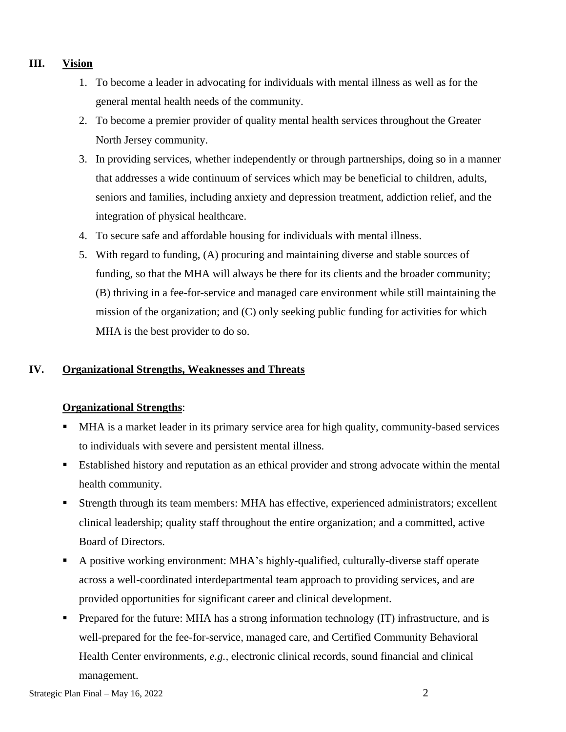## **III. Vision**

- 1. To become a leader in advocating for individuals with mental illness as well as for the general mental health needs of the community.
- 2. To become a premier provider of quality mental health services throughout the Greater North Jersey community.
- 3. In providing services, whether independently or through partnerships, doing so in a manner that addresses a wide continuum of services which may be beneficial to children, adults, seniors and families, including anxiety and depression treatment, addiction relief, and the integration of physical healthcare.
- 4. To secure safe and affordable housing for individuals with mental illness.
- 5. With regard to funding, (A) procuring and maintaining diverse and stable sources of funding, so that the MHA will always be there for its clients and the broader community; (B) thriving in a fee-for-service and managed care environment while still maintaining the mission of the organization; and (C) only seeking public funding for activities for which MHA is the best provider to do so.

## **IV. Organizational Strengths, Weaknesses and Threats**

## **Organizational Strengths**:

- MHA is a market leader in its primary service area for high quality, community-based services to individuals with severe and persistent mental illness.
- **Established history and reputation as an ethical provider and strong advocate within the mental** health community.
- Strength through its team members: MHA has effective, experienced administrators; excellent clinical leadership; quality staff throughout the entire organization; and a committed, active Board of Directors.
- A positive working environment: MHA's highly-qualified, culturally-diverse staff operate across a well-coordinated interdepartmental team approach to providing services, and are provided opportunities for significant career and clinical development.
- Prepared for the future: MHA has a strong information technology (IT) infrastructure, and is well-prepared for the fee-for-service, managed care, and Certified Community Behavioral Health Center environments, *e.g.,* electronic clinical records, sound financial and clinical management.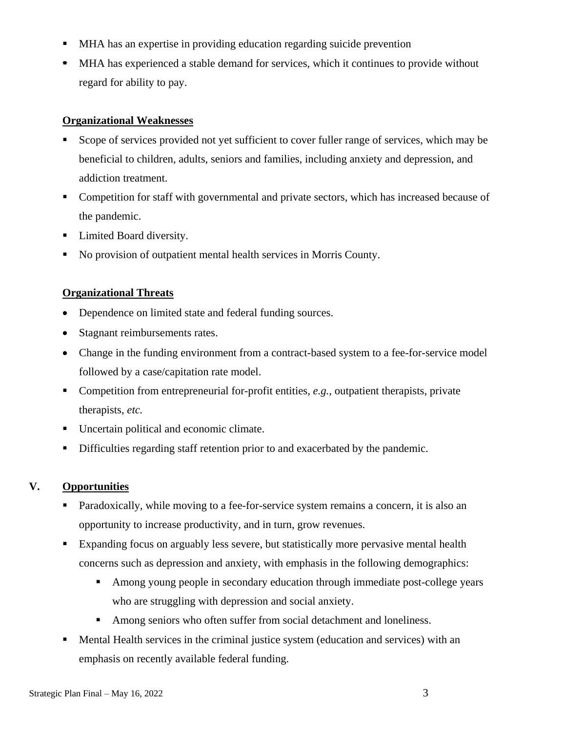- MHA has an expertise in providing education regarding suicide prevention
- MHA has experienced a stable demand for services, which it continues to provide without regard for ability to pay.

## **Organizational Weaknesses**

- Scope of services provided not yet sufficient to cover fuller range of services, which may be beneficial to children, adults, seniors and families, including anxiety and depression, and addiction treatment.
- Competition for staff with governmental and private sectors, which has increased because of the pandemic.
- Limited Board diversity.
- No provision of outpatient mental health services in Morris County.

# **Organizational Threats**

- Dependence on limited state and federal funding sources.
- Stagnant reimbursements rates.
- Change in the funding environment from a contract-based system to a fee-for-service model followed by a case/capitation rate model.
- Competition from entrepreneurial for-profit entities, *e.g.*, outpatient therapists, private therapists, *etc.*
- Uncertain political and economic climate.
- Difficulties regarding staff retention prior to and exacerbated by the pandemic.

# **V. Opportunities**

- Paradoxically, while moving to a fee-for-service system remains a concern, it is also an opportunity to increase productivity, and in turn, grow revenues.
- Expanding focus on arguably less severe, but statistically more pervasive mental health concerns such as depression and anxiety, with emphasis in the following demographics:
	- Among young people in secondary education through immediate post-college years who are struggling with depression and social anxiety.
	- Among seniors who often suffer from social detachment and loneliness.
- **Mental Health services in the criminal justice system (education and services) with an** emphasis on recently available federal funding.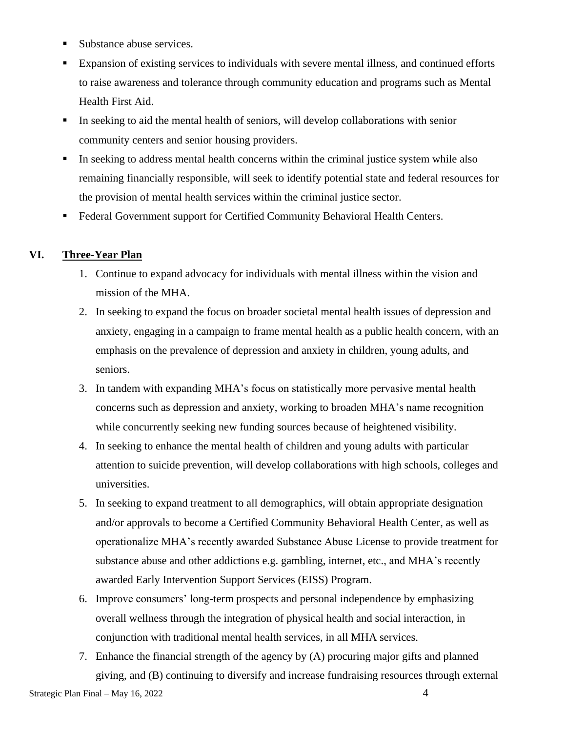- Substance abuse services.
- Expansion of existing services to individuals with severe mental illness, and continued efforts to raise awareness and tolerance through community education and programs such as Mental Health First Aid.
- **IF** In seeking to aid the mental health of seniors, will develop collaborations with senior community centers and senior housing providers.
- **•** In seeking to address mental health concerns within the criminal justice system while also remaining financially responsible, will seek to identify potential state and federal resources for the provision of mental health services within the criminal justice sector.
- Federal Government support for Certified Community Behavioral Health Centers.

## **VI. Three-Year Plan**

- 1. Continue to expand advocacy for individuals with mental illness within the vision and mission of the MHA.
- 2. In seeking to expand the focus on broader societal mental health issues of depression and anxiety, engaging in a campaign to frame mental health as a public health concern, with an emphasis on the prevalence of depression and anxiety in children, young adults, and seniors.
- 3. In tandem with expanding MHA's focus on statistically more pervasive mental health concerns such as depression and anxiety, working to broaden MHA's name recognition while concurrently seeking new funding sources because of heightened visibility.
- 4. In seeking to enhance the mental health of children and young adults with particular attention to suicide prevention, will develop collaborations with high schools, colleges and universities.
- 5. In seeking to expand treatment to all demographics, will obtain appropriate designation and/or approvals to become a Certified Community Behavioral Health Center, as well as operationalize MHA's recently awarded Substance Abuse License to provide treatment for substance abuse and other addictions e.g. gambling, internet, etc., and MHA's recently awarded Early Intervention Support Services (EISS) Program.
- 6. Improve consumers' long-term prospects and personal independence by emphasizing overall wellness through the integration of physical health and social interaction, in conjunction with traditional mental health services, in all MHA services.
- 7. Enhance the financial strength of the agency by (A) procuring major gifts and planned giving, and (B) continuing to diversify and increase fundraising resources through external